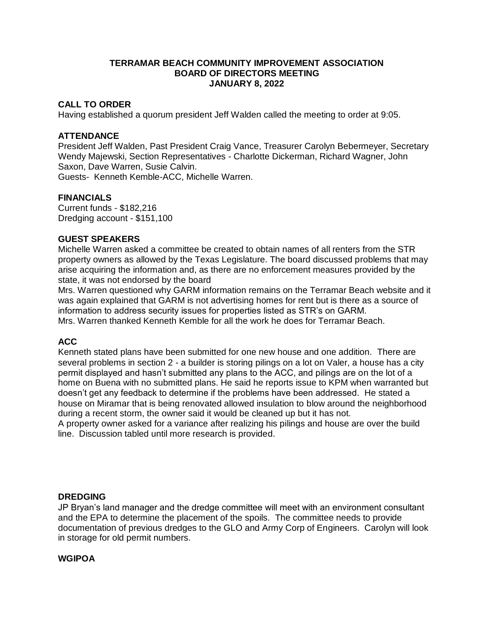### **TERRAMAR BEACH COMMUNITY IMPROVEMENT ASSOCIATION BOARD OF DIRECTORS MEETING JANUARY 8, 2022**

# **CALL TO ORDER**

Having established a quorum president Jeff Walden called the meeting to order at 9:05.

#### **ATTENDANCE**

President Jeff Walden, Past President Craig Vance, Treasurer Carolyn Bebermeyer, Secretary Wendy Majewski, Section Representatives - Charlotte Dickerman, Richard Wagner, John Saxon, Dave Warren, Susie Calvin.

Guests- Kenneth Kemble-ACC, Michelle Warren.

#### **FINANCIALS**

Current funds - \$182,216 Dredging account - \$151,100

#### **GUEST SPEAKERS**

Michelle Warren asked a committee be created to obtain names of all renters from the STR property owners as allowed by the Texas Legislature. The board discussed problems that may arise acquiring the information and, as there are no enforcement measures provided by the state, it was not endorsed by the board

Mrs. Warren questioned why GARM information remains on the Terramar Beach website and it was again explained that GARM is not advertising homes for rent but is there as a source of information to address security issues for properties listed as STR's on GARM. Mrs. Warren thanked Kenneth Kemble for all the work he does for Terramar Beach.

# **ACC**

Kenneth stated plans have been submitted for one new house and one addition. There are several problems in section 2 - a builder is storing pilings on a lot on Valer, a house has a city permit displayed and hasn't submitted any plans to the ACC, and pilings are on the lot of a home on Buena with no submitted plans. He said he reports issue to KPM when warranted but doesn't get any feedback to determine if the problems have been addressed. He stated a house on Miramar that is being renovated allowed insulation to blow around the neighborhood during a recent storm, the owner said it would be cleaned up but it has not.

A property owner asked for a variance after realizing his pilings and house are over the build line. Discussion tabled until more research is provided.

#### **DREDGING**

JP Bryan's land manager and the dredge committee will meet with an environment consultant and the EPA to determine the placement of the spoils. The committee needs to provide documentation of previous dredges to the GLO and Army Corp of Engineers. Carolyn will look in storage for old permit numbers.

### **WGIPOA**